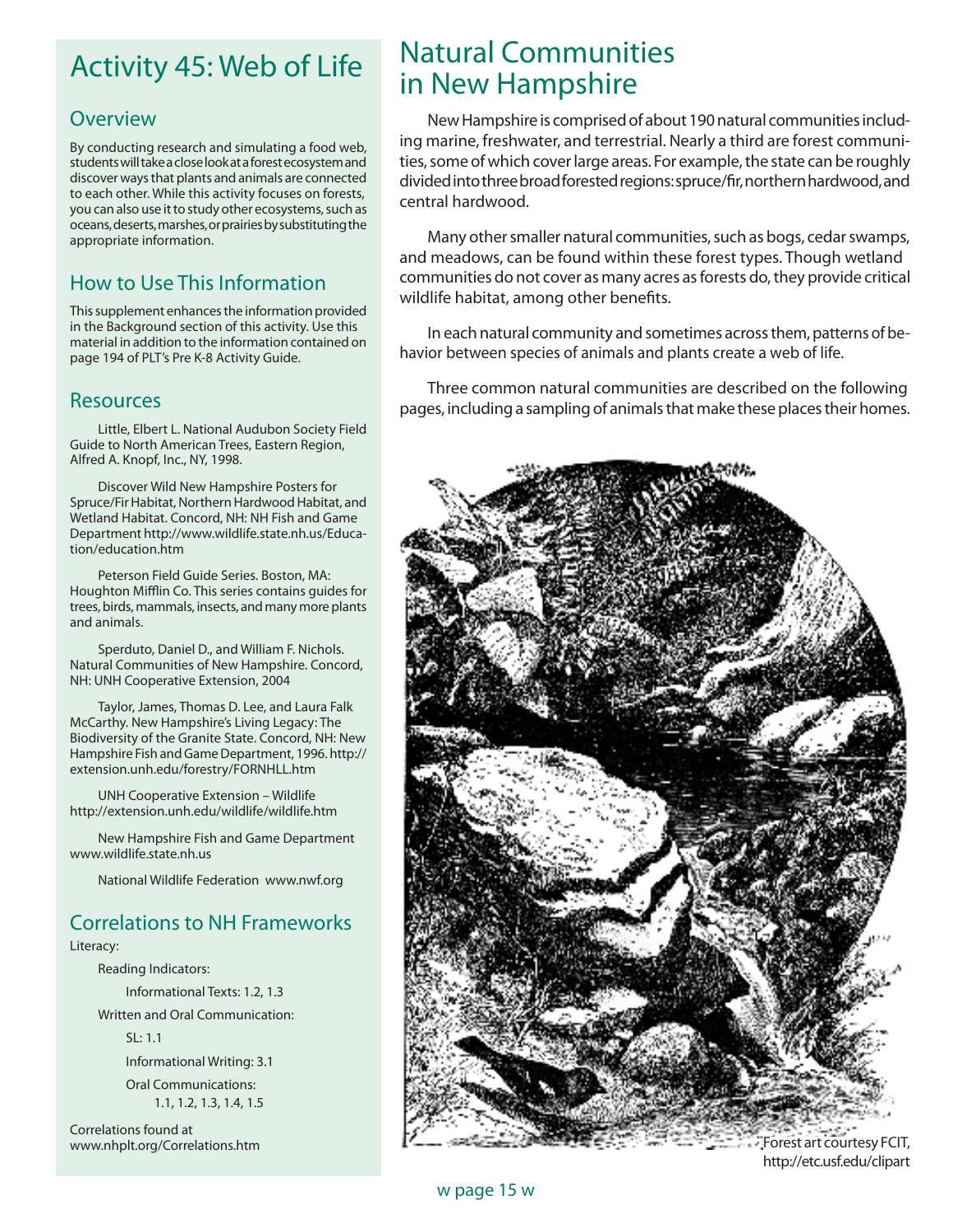## Activity 45: Web of Life

### **Overview**

By conducting research and simulating a food web, students will take a close look at a forest ecosystem and discover ways that plants and animals are connected to each other. While this activity focuses on forests, you can also use it to study other ecosystems, such as oceans, deserts, marshes, or prairies by substituting the appropriate information.

### How to Use This Information

This supplement enhances the information provided in the Background section of this activity. Use this material in addition to the information contained on page 194 of PLT's Pre K-8 Activity Guide.

#### Resources

Little, Elbert L. National Audubon Society Field Guide to North American Trees, Eastern Region, Alfred A. Knopf, Inc., NY, 1998.

Discover Wild New Hampshire Posters for Spruce/Fir Habitat, Northern Hardwood Habitat, and Wetland Habitat. Concord, NH: NH Fish and Game Department http://www.wildlife.state.nh.us/Education/education.htm

Peterson Field Guide Series. Boston, MA: Houghton Mifflin Co. This series contains guides for trees, birds, mammals, insects, and many more plants and animals.

Sperduto, Daniel D., and William F. Nichols. Natural Communities of New Hampshire. Concord, NH: UNH Cooperative Extension, 2004

Taylor, James, Thomas D. Lee, and Laura Falk McCarthy. New Hampshire's Living Legacy: The Biodiversity of the Granite State. Concord, NH: New Hampshire Fish and Game Department, 1996. http:// extension.unh.edu/forestry/FORNHLL.htm

UNH Cooperative Extension – Wildlife http://extension.unh.edu/wildlife/wildlife.htm

New Hampshire Fish and Game Department www.wildlife.state.nh.us

National Wildlife Federation www.nwf.org

### Correlations to NH Frameworks

Literacy:

 Reading Indicators: Informational Texts: 1.2, 1.3 Written and Oral Communication:

SL: 1.1

 Informational Writing: 3.1 Oral Communications:

1.1, 1.2, 1.3, 1.4, 1.5

Correlations found at www.nhplt.org/Correlations.htm

## Natural Communities in New Hampshire

New Hampshire is comprised of about 190 natural communities including marine, freshwater, and terrestrial. Nearly a third are forest communities, some of which cover large areas. For example, the state can be roughly divided into three broad forested regions: spruce/fir, northern hardwood, and central hardwood.

Many other smaller natural communities, such as bogs, cedar swamps, and meadows, can be found within these forest types. Though wetland communities do not cover as many acres as forests do, they provide critical wildlife habitat, among other benefits.

In each natural community and sometimes across them, patterns of behavior between species of animals and plants create a web of life.

Three common natural communities are described on the following pages, including a sampling of animals that make these places their homes.



http://etc.usf.edu/clipart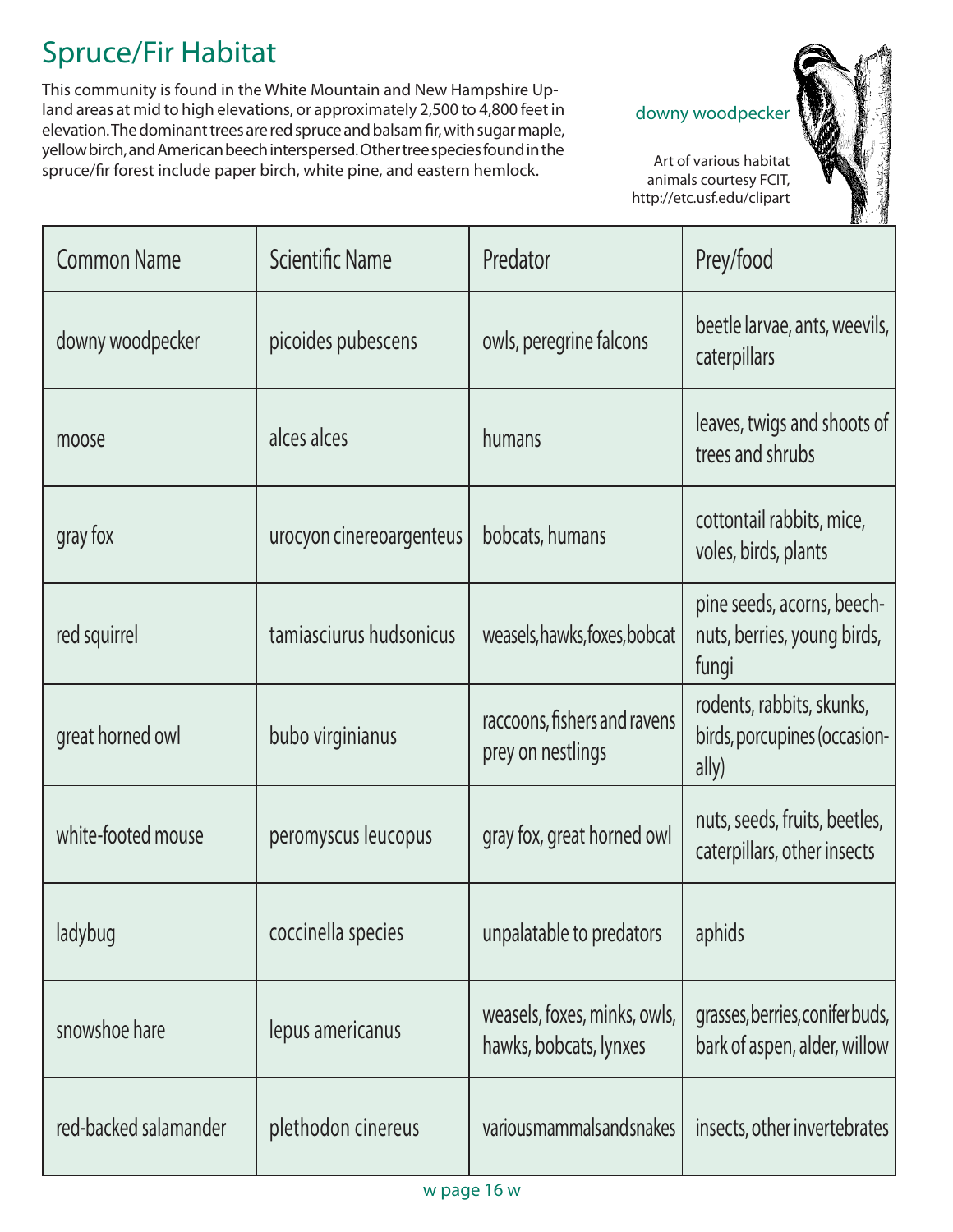# Spruce/Fir Habitat

This community is found in the White Mountain and New Hampshire Upland areas at mid to high elevations, or approximately 2,500 to 4,800 feet in elevation. The dominant trees are red spruce and balsam fir, with sugar maple, yellow birch, and American beech interspersed. Other tree species found in the spruce/fir forest include paper birch, white pine, and eastern hemlock.

#### downy woodpecker

 Art of various habitat animals courtesy FCIT, http://etc.usf.edu/clipart



| <b>Common Name</b>    | <b>Scientific Name</b>   | Predator                                               | Prey/food                                                          |
|-----------------------|--------------------------|--------------------------------------------------------|--------------------------------------------------------------------|
| downy woodpecker      | picoides pubescens       | owls, peregrine falcons                                | beetle larvae, ants, weevils,<br>caterpillars                      |
| moose                 | alces alces              | humans                                                 | leaves, twigs and shoots of<br>trees and shrubs                    |
| gray fox              | urocyon cinereoargenteus | bobcats, humans                                        | cottontail rabbits, mice,<br>voles, birds, plants                  |
| red squirrel          | tamiasciurus hudsonicus  | weasels, hawks, foxes, bobcat                          | pine seeds, acorns, beech-<br>nuts, berries, young birds,<br>fungi |
| great horned owl      | bubo virginianus         | raccoons, fishers and ravens<br>prey on nestlings      | rodents, rabbits, skunks,<br>birds, porcupines (occasion-<br>ally) |
| white-footed mouse    | peromyscus leucopus      | gray fox, great horned owl                             | nuts, seeds, fruits, beetles,<br>caterpillars, other insects       |
| ladybug               | coccinella species       | unpalatable to predators                               | aphids                                                             |
| snowshoe hare         | lepus americanus         | weasels, foxes, minks, owls,<br>hawks, bobcats, lynxes | grasses, berries, coniferbuds,<br>bark of aspen, alder, willow     |
| red-backed salamander | plethodon cinereus       | various mammals and snakes                             | insects, other invertebrates                                       |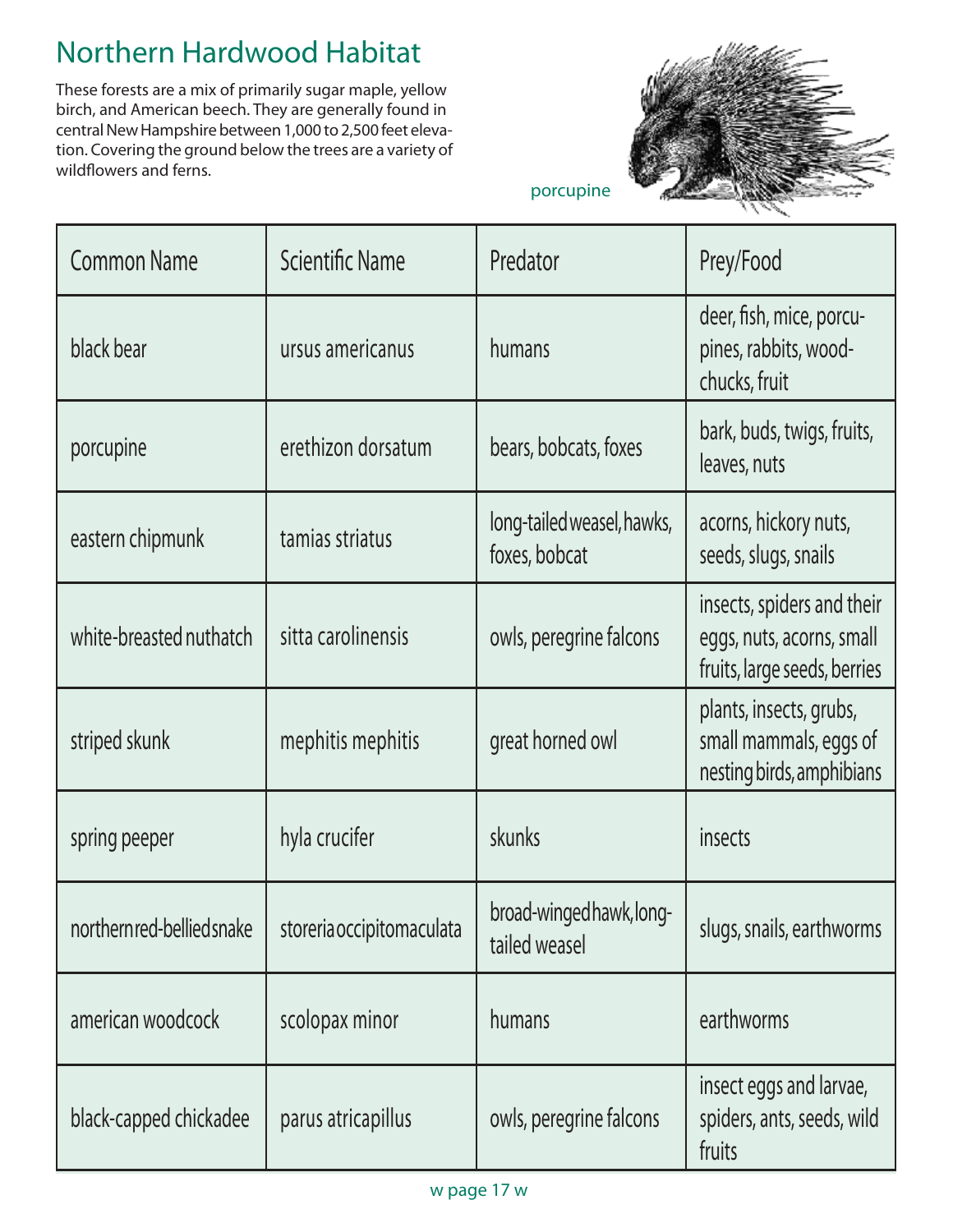## Northern Hardwood Habitat

These forests are a mix of primarily sugar maple, yellow birch, and American beech. They are generally found in central New Hampshire between 1,000 to 2,500 feet elevation. Covering the ground below the trees are a variety of wildflowers and ferns.



porcupine

| <b>Common Name</b>                                     | <b>Scientific Name</b> | Predator                                    | Prey/Food                                                                               |
|--------------------------------------------------------|------------------------|---------------------------------------------|-----------------------------------------------------------------------------------------|
| black bear                                             | ursus americanus       | humans                                      | deer, fish, mice, porcu-<br>pines, rabbits, wood-<br>chucks, fruit                      |
| porcupine                                              | erethizon dorsatum     | bears, bobcats, foxes                       | bark, buds, twigs, fruits,<br>leaves, nuts                                              |
| eastern chipmunk                                       | tamias striatus        | long-tailed weasel, hawks,<br>foxes, bobcat | acorns, hickory nuts,<br>seeds, slugs, snails                                           |
| white-breasted nuthatch                                | sitta carolinensis     | owls, peregrine falcons                     | insects, spiders and their<br>eggs, nuts, acorns, small<br>fruits, large seeds, berries |
| striped skunk                                          | mephitis mephitis      | great horned owl                            | plants, insects, grubs,<br>small mammals, eggs of<br>nesting birds, amphibians          |
| spring peeper                                          | hyla crucifer          | skunks                                      | insects                                                                                 |
| northernred-bellied snake   storeria occipitom aculata |                        | broad-wingedhawk, long-<br>tailed weasel    | slugs, snails, earthworms                                                               |
| american woodcock                                      | scolopax minor         | humans                                      | earthworms                                                                              |
| black-capped chickadee                                 | parus atricapillus     | owls, peregrine falcons                     | insect eggs and larvae,<br>spiders, ants, seeds, wild<br>fruits                         |